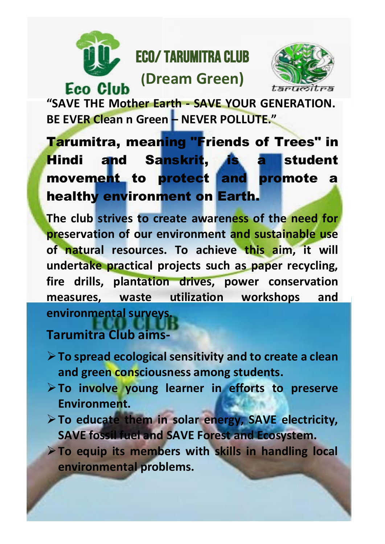

**Eco Club** 

## Eco/ Tarumitra Club

## **(Dream Green)**



**"SAVE THE Mother Earth - SAVE YOUR GENERATION. BE EVER Clean n Green – NEVER POLLUTE."**

**Tarumitra, meaning "Friends of Trees" in** Hindi and Sanskrit, is a student movement to protect and promote a healthy environment on Earth.

**The club strives to create awareness of the need for preservation of our environment and sustainable use of natural resources. To achieve this aim, it will undertake practical projects such as paper recycling, fire drills, plantation drives, power conservation measures, waste utilization workshops and environmental surveys.**

**Tarumitra Club aims-**

- ➢**To spread ecological sensitivity and to create a clean and green consciousness among students.**
- ➢**To involve young learner in efforts to preserve Environment.**
- ➢**To educate them in solar energy, SAVE electricity, SAVE fossil fuel and SAVE Forest and Ecosystem.**
- ➢**To equip its members with skills in handling local environmental problems.**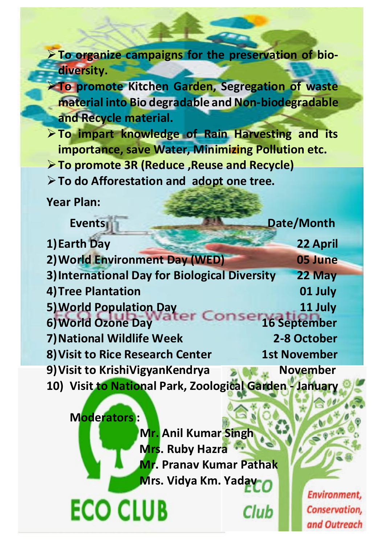➢**To organize campaigns for the preservation of biodiversity.**

➢**To promote Kitchen Garden, Segregation of waste material into Bio degradable and Non-biodegradable and Recycle material.**

➢**To impart knowledge of Rain Harvesting and its importance, save Water, Minimizing Pollution etc.**

➢**To promote 3R (Reduce ,Reuse and Recycle)**

➢**To do Afforestation and adopt one tree.**

**Year Plan:**

**Moderators :**

**ECO CLUB** 

Events **Date/Month 1)Earth Day 22 April 2)World Environment Day (WED) 05 June 3)International Day for Biological Diversity 22 May 4)Tree Plantation 01 July 5) World Population Day<br>6) World Ozone Day deter Company 16 September 6) World Ozone Day 7) National Wildlife Week 2-8 October 8) Visit to Rice Research Center 1st November 9) Visit to KrishiVigyanKendrya November 10) Visit to National Park, Zoological Garden - January**

> **Mr. Anil Kumar Singh Mrs. Ruby Hazra Mr. Pranav Kumar Pathak Mrs. Vidya Km. Yadav**

> > **Club**

Environment, **Conservation,** and Outreach